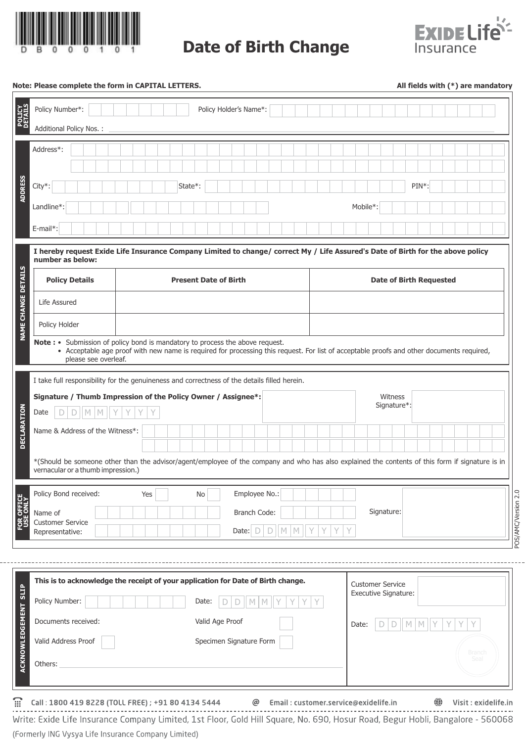

**Date of Birth Change**



## **Note: Please complete the form in CAPITAL LETTERS.**

**All fields with (\*) are mandatory**

| <b>POLICY</b><br>DETAILS<br>Policy Number*:                                                                                                         | Policy Holder's Name*:                                                                                                                           |                                |  |
|-----------------------------------------------------------------------------------------------------------------------------------------------------|--------------------------------------------------------------------------------------------------------------------------------------------------|--------------------------------|--|
| Additional Policy Nos.:                                                                                                                             |                                                                                                                                                  |                                |  |
| Address*:                                                                                                                                           |                                                                                                                                                  |                                |  |
| ADDRESS<br>City*:                                                                                                                                   | State*:                                                                                                                                          | PIN*:                          |  |
| Landline*:                                                                                                                                          |                                                                                                                                                  | Mobile*:                       |  |
| $E$ -mail*:                                                                                                                                         |                                                                                                                                                  |                                |  |
| I hereby request Exide Life Insurance Company Limited to change/ correct My / Life Assured's Date of Birth for the above policy<br>number as below: |                                                                                                                                                  |                                |  |
| <b>Policy Details</b>                                                                                                                               | <b>Present Date of Birth</b>                                                                                                                     | <b>Date of Birth Requested</b> |  |
| NAME CHANGE DETAILS<br>Life Assured                                                                                                                 |                                                                                                                                                  |                                |  |
| Policy Holder                                                                                                                                       |                                                                                                                                                  |                                |  |
| Note: • Submission of policy bond is mandatory to process the above request.<br>please see overleaf.                                                | • Acceptable age proof with new name is required for processing this request. For list of acceptable proofs and other documents required,        |                                |  |
| Signature / Thumb Impression of the Policy Owner / Assignee*:<br><b>DECLARATION</b><br>M<br>Date<br>D<br>D<br>M<br>Name & Address of the Witness*:  | I take full responsibility for the genuineness and correctness of the details filled herein.                                                     | Witness<br>Signature*:         |  |
| vernacular or a thumb impression.)                                                                                                                  | *(Should be someone other than the advisor/agent/employee of the company and who has also explained the contents of this form if signature is in |                                |  |
| Policy Bond received:<br>Yes<br><b>FOR OFFICE</b><br>Name of<br><b>Customer Service</b><br>Representative:                                          | Employee No.:<br>No<br>Branch Code:<br>Date: $\Box$<br>D<br>$\mathbb M$<br>М                                                                     | Signature:                     |  |
|                                                                                                                                                     |                                                                                                                                                  |                                |  |
|                                                                                                                                                     | This is to acknowledge the receipt of your application for Date of Birth change.                                                                 | <b>Customer Service</b>        |  |
| Policy Number:                                                                                                                                      | Date:<br>M                                                                                                                                       | Executive Signature:           |  |
| ACKNOWLEDGEMENT SLIP<br>Documents received:                                                                                                         | Valid Age Proof                                                                                                                                  | $\mathbb{M}$<br>Date:<br>D     |  |
| Valid Address Proof                                                                                                                                 | Specimen Signature Form                                                                                                                          | <b>Branch</b>                  |  |
| Others:                                                                                                                                             |                                                                                                                                                  | Seal                           |  |

 $\widehat{m}$ Call: 1800 419 8228 (TOLL FREE) ; +91 80 4134 5444 @ Email: customer.service@exidelife.in

**●** Visit : exidelife.in

-----------------Write: Exide Life Insurance Company Limited, 1st Floor, Gold Hill Square, No. 690, Hosur Road, Begur Hobli, Bangalore - 560068 (Formerly ING Vysya Life Insurance Company Limited)